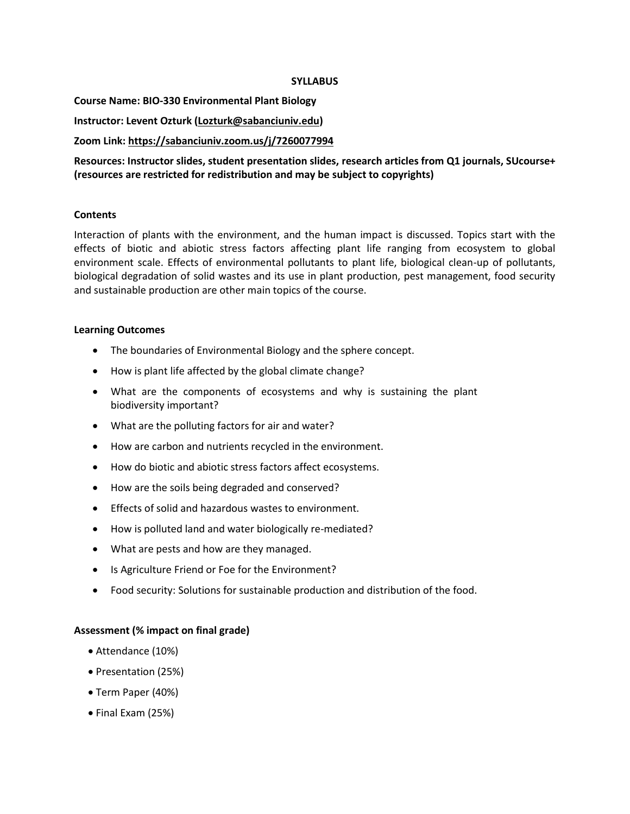#### **SYLLABUS**

**Course Name: BIO-330 Environmental Plant Biology**

**Instructor: Levent Ozturk [\(Lozturk@sabanciuniv.edu\)](mailto:Lozturk@sabanciuniv.edu)**

**Zoom Link[: https://sabanciuniv.zoom.us/j/7260077994](https://sabanciuniv.zoom.us/j/7260077994)**

**Resources: Instructor slides, student presentation slides, research articles from Q1 journals, SUcourse+ (resources are restricted for redistribution and may be subject to copyrights)**

# **Contents**

Interaction of plants with the environment, and the human impact is discussed. Topics start with the effects of biotic and abiotic stress factors affecting plant life ranging from ecosystem to global environment scale. Effects of environmental pollutants to plant life, biological clean-up of pollutants, biological degradation of solid wastes and its use in plant production, pest management, food security and sustainable production are other main topics of the course.

### **Learning Outcomes**

- The boundaries of Environmental Biology and the sphere concept.
- How is plant life affected by the global climate change?
- What are the components of ecosystems and why is sustaining the plant biodiversity important?
- What are the polluting factors for air and water?
- How are carbon and nutrients recycled in the environment.
- How do biotic and abiotic stress factors affect ecosystems.
- How are the soils being degraded and conserved?
- Effects of solid and hazardous wastes to environment.
- How is polluted land and water biologically re-mediated?
- What are pests and how are they managed.
- Is Agriculture Friend or Foe for the Environment?
- Food security: Solutions for sustainable production and distribution of the food.

# **Assessment (% impact on final grade)**

- Attendance (10%)
- Presentation (25%)
- Term Paper (40%)
- Final Exam (25%)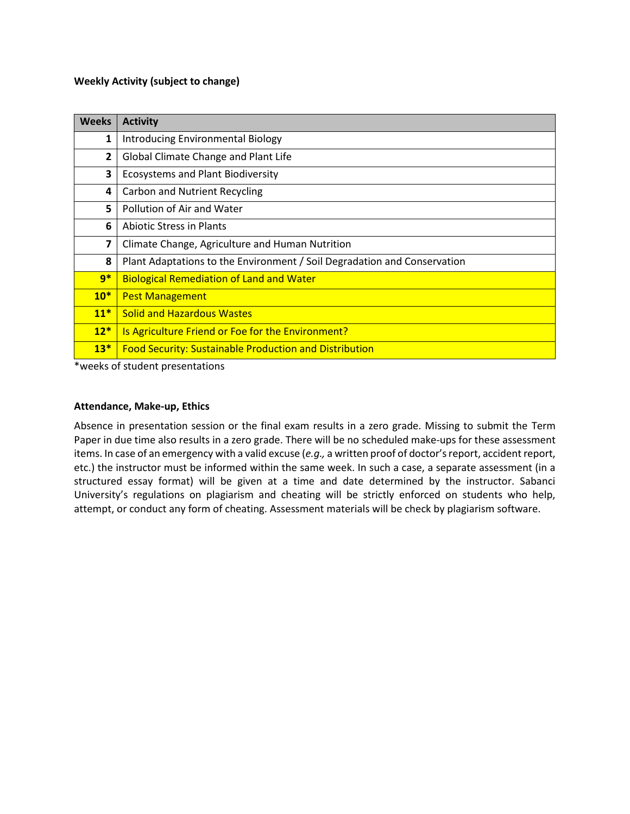### **Weekly Activity (subject to change)**

| <b>Weeks</b> | <b>Activity</b>                                                          |
|--------------|--------------------------------------------------------------------------|
| 1            | Introducing Environmental Biology                                        |
| 2            | Global Climate Change and Plant Life                                     |
| 3            | <b>Ecosystems and Plant Biodiversity</b>                                 |
| 4            | <b>Carbon and Nutrient Recycling</b>                                     |
| 5            | Pollution of Air and Water                                               |
| 6            | <b>Abiotic Stress in Plants</b>                                          |
| 7            | Climate Change, Agriculture and Human Nutrition                          |
| 8            | Plant Adaptations to the Environment / Soil Degradation and Conservation |
| $9*$         | <b>Biological Remediation of Land and Water</b>                          |
| $10*$        | <b>Pest Management</b>                                                   |
| $11*$        | <b>Solid and Hazardous Wastes</b>                                        |
| $12*$        | Is Agriculture Friend or Foe for the Environment?                        |
| $13*$        | <b>Food Security: Sustainable Production and Distribution</b>            |

\*weeks of student presentations

# **Attendance, Make-up, Ethics**

Absence in presentation session or the final exam results in a zero grade. Missing to submit the Term Paper in due time also results in a zero grade. There will be no scheduled make-ups for these assessment items. In case of an emergency with a valid excuse (*e.g.,* a written proof of doctor's report, accident report, etc.) the instructor must be informed within the same week. In such a case, a separate assessment (in a structured essay format) will be given at a time and date determined by the instructor. Sabanci University's regulations on plagiarism and cheating will be strictly enforced on students who help, attempt, or conduct any form of cheating. Assessment materials will be check by plagiarism software.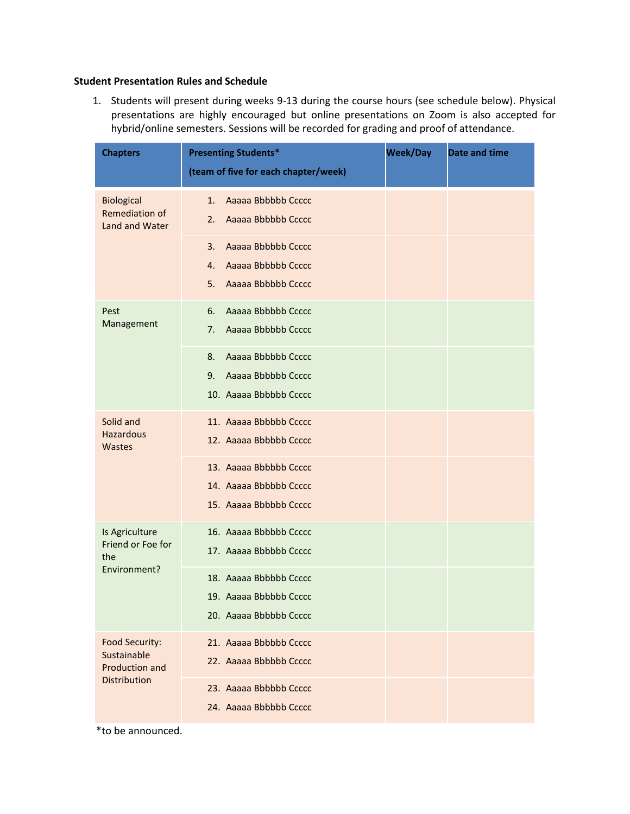#### **Student Presentation Rules and Schedule**

1. Students will present during weeks 9-13 during the course hours (see schedule below). Physical presentations are highly encouraged but online presentations on Zoom is also accepted for hybrid/online semesters. Sessions will be recorded for grading and proof of attendance.

| <b>Chapters</b>                                        | <b>Presenting Students*</b><br>(team of five for each chapter/week)              | <b>Week/Day</b> | <b>Date and time</b> |
|--------------------------------------------------------|----------------------------------------------------------------------------------|-----------------|----------------------|
| <b>Biological</b><br>Remediation of<br>Land and Water  | Aaaaa Bbbbbb Ccccc<br>1.<br>Aaaaa Bbbbbb Ccccc<br>2.                             |                 |                      |
|                                                        | Aaaaa Bbbbbb Ccccc<br>3.<br>Aaaaa Bbbbbb Ccccc<br>4.<br>Aaaaa Bbbbbb Ccccc<br>5. |                 |                      |
| Pest<br>Management                                     | Aaaaa Bbbbbb Ccccc<br>6.<br>Aaaaa Bbbbbb Ccccc<br>7.                             |                 |                      |
|                                                        | Aaaaa Bbbbbb Ccccc<br>8.<br>Aaaaa Bbbbbb Ccccc<br>9.<br>10. Aaaaa Bbbbbb Ccccc   |                 |                      |
| Solid and<br><b>Hazardous</b><br>Wastes                | 11. Aaaaa Bbbbbb Ccccc<br>12. Aaaaa Bbbbbb Ccccc                                 |                 |                      |
|                                                        | 13. Aaaaa Bbbbbb Ccccc<br>14. Aaaaa Bbbbbb Ccccc<br>15. Aaaaa Bbbbbb Ccccc       |                 |                      |
| Is Agriculture<br>Friend or Foe for<br>the             | 16. Aaaaa Bbbbbb Ccccc<br>17. Aaaaa Bbbbbb Ccccc                                 |                 |                      |
| Environment?                                           | 18. Aaaaa Bbbbbb Ccccc<br>19. Aaaaa Bbbbbb Ccccc<br>20. Aaaaa Bbbbbb Ccccc       |                 |                      |
| Food Security:<br>Sustainable<br><b>Production and</b> | 21. Aaaaa Bbbbbb Ccccc<br>22. Aaaaa Bbbbbb Ccccc                                 |                 |                      |
| Distribution                                           | 23. Aaaaa Bbbbbb Ccccc<br>24. Aaaaa Bbbbbb Ccccc                                 |                 |                      |

\*to be announced.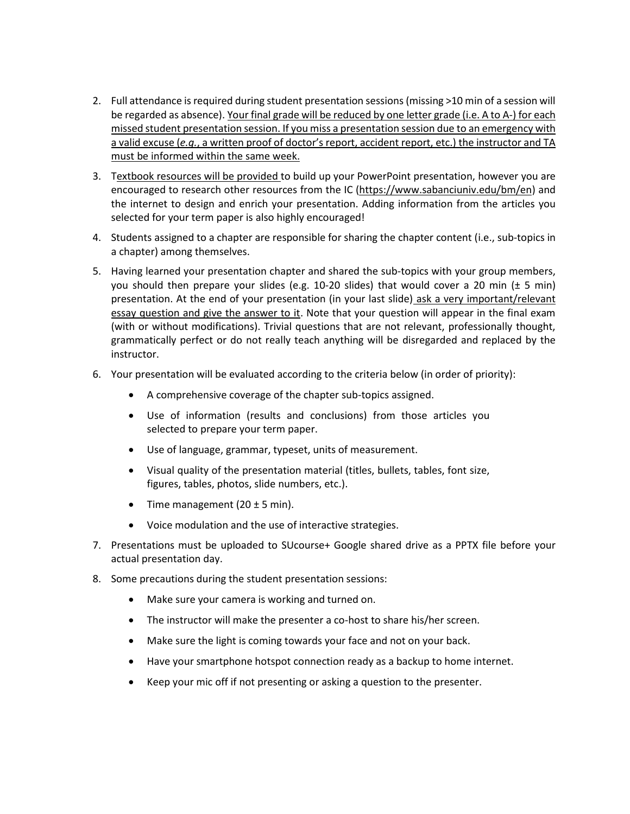- 2. Full attendance is required during student presentation sessions (missing >10 min of a session will be regarded as absence). Your final grade will be reduced by one letter grade (i.e. A to A-) for each missed student presentation session. If you miss a presentation session due to an emergency with a valid excuse (*e.g.*, a written proof of doctor's report, accident report, etc.) the instructor and TA must be informed within the same week.
- 3. Textbook resources will be provided to build up your PowerPoint presentation, however you are encouraged to research other resources from the IC [\(https://www.sabanciuniv.edu/bm/en\)](https://www.sabanciuniv.edu/bm/en) and the internet to design and enrich your presentation. Adding information from the articles you selected for your term paper is also highly encouraged!
- 4. Students assigned to a chapter are responsible for sharing the chapter content (i.e., sub-topics in a chapter) among themselves.
- 5. Having learned your presentation chapter and shared the sub-topics with your group members, you should then prepare your slides (e.g. 10-20 slides) that would cover a 20 min (± 5 min) presentation. At the end of your presentation (in your last slide) ask a very important/relevant essay question and give the answer to it. Note that your question will appear in the final exam (with or without modifications). Trivial questions that are not relevant, professionally thought, grammatically perfect or do not really teach anything will be disregarded and replaced by the instructor.
- 6. Your presentation will be evaluated according to the criteria below (in order of priority):
	- A comprehensive coverage of the chapter sub-topics assigned.
	- Use of information (results and conclusions) from those articles you selected to prepare your term paper.
	- Use of language, grammar, typeset, units of measurement.
	- Visual quality of the presentation material (titles, bullets, tables, font size, figures, tables, photos, slide numbers, etc.).
	- Time management  $(20 \pm 5 \text{ min})$ .
	- Voice modulation and the use of interactive strategies.
- 7. Presentations must be uploaded to SUcourse+ Google shared drive as a PPTX file before your actual presentation day.
- 8. Some precautions during the student presentation sessions:
	- Make sure your camera is working and turned on.
	- The instructor will make the presenter a co-host to share his/her screen.
	- Make sure the light is coming towards your face and not on your back.
	- Have your smartphone hotspot connection ready as a backup to home internet.
	- Keep your mic off if not presenting or asking a question to the presenter.